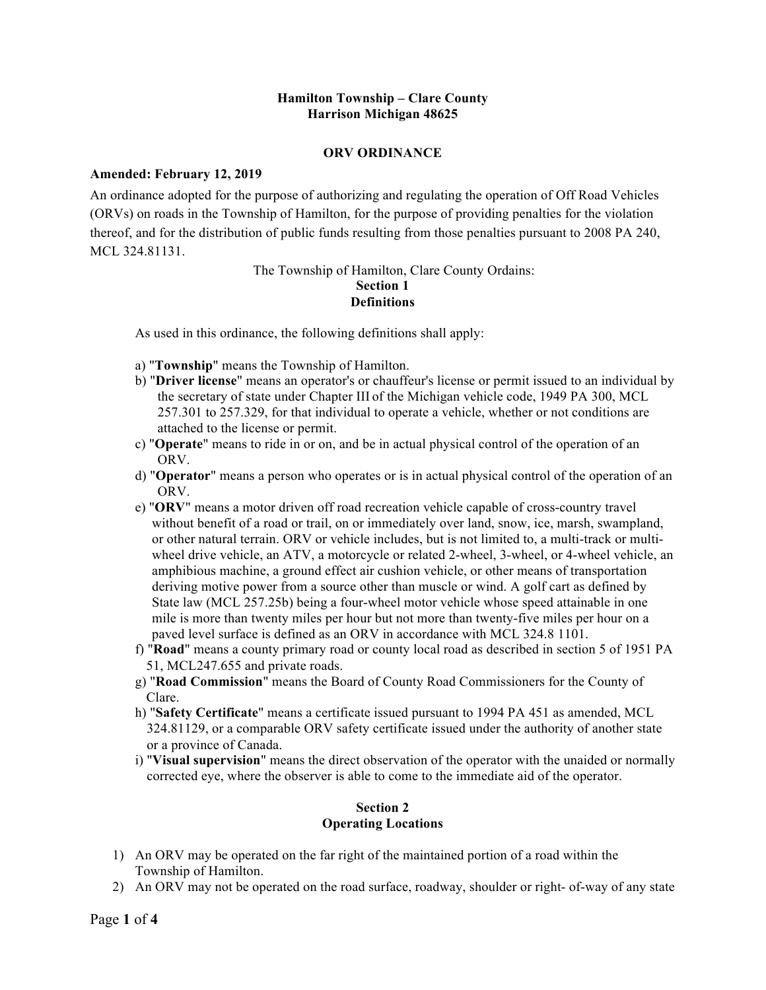#### **Hamilton Township – Clare County Harrison Michigan 48625**

#### **ORV ORDINANCE**

#### **Amended: February 12, 2019**

An ordinance adopted for the purpose of authorizing and regulating the operation of Off Road Vehicles (ORVs) on roads in the Township of Hamilton, for the purpose of providing penalties for the violation thereof, and for the distribution of public funds resulting from those penalties pursuant to 2008 PA 240, MCL 324.81131.

#### The Township of Hamilton, Clare County Ordains: **Section 1 Definitions**

As used in this ordinance, the following definitions shall apply:

- a) "**Township**" means the Township of Hamilton.
- b) "**Driver license**" means an operator's or chauffeur's license or permit issued to an individual by the secretary of state under Chapter III of the Michigan vehicle code, 1949 PA 300, MCL 257.301 to 257.329, for that individual to operate a vehicle, whether or not conditions are attached to the license or permit.
- c) "**Operate**" means to ride in or on, and be in actual physical control of the operation of an ORV.
- d) "**Operator**" means a person who operates or is in actual physical control of the operation of an ORV.
- e) "**ORV**" means a motor driven off road recreation vehicle capable of cross-country travel without benefit of a road or trail, on or immediately over land, snow, ice, marsh, swampland, or other natural terrain. ORV or vehicle includes, but is not limited to, a multi-track or multiwheel drive vehicle, an ATV, a motorcycle or related 2-wheel, 3-wheel, or 4-wheel vehicle, an amphibious machine, a ground effect air cushion vehicle, or other means of transportation deriving motive power from a source other than muscle or wind. A golf cart as defined by State law (MCL 257.25b) being a four-wheel motor vehicle whose speed attainable in one mile is more than twenty miles per hour but not more than twenty-five miles per hour on a paved level surface is defined as an ORV in accordance with MCL 324.8 1101.
- f) "**Road**" means a county primary road or county local road as described in section 5 of 1951 PA 51, MCL247.655 and private roads.
- g) "**Road Commission**" means the Board of County Road Commissioners for the County of Clare.
- h) "**Safety Certificate**" means a certificate issued pursuant to 1994 PA 451 as amended, MCL 324.81129, or a comparable ORV safety certificate issued under the authority of another state or a province of Canada.
- i) "**Visual supervision**" means the direct observation of the operator with the unaided or normally corrected eye, where the observer is able to come to the immediate aid of the operator.

### **Section 2 Operating Locations**

- 1) An ORV may be operated on the far right of the maintained portion of a road within the Township of Hamilton.
- 2) An ORV may not be operated on the road surface, roadway, shoulder or right- of-way of any state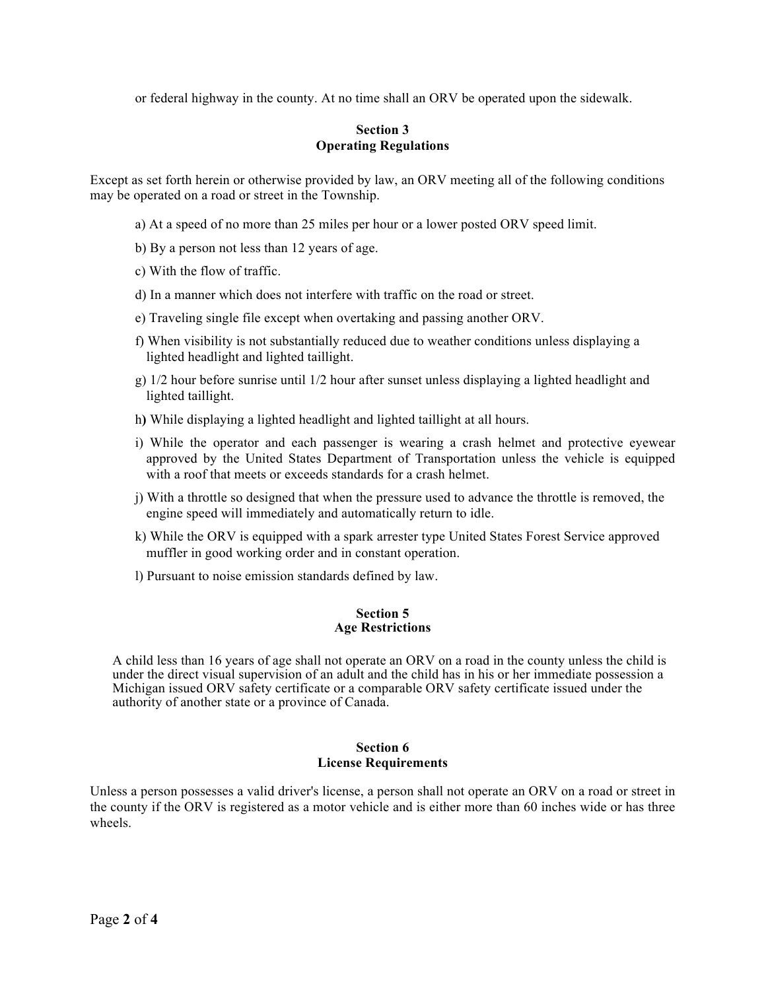or federal highway in the county. At no time shall an ORV be operated upon the sidewalk.

#### **Section 3 Operating Regulations**

Except as set forth herein or otherwise provided by law, an ORV meeting all of the following conditions may be operated on a road or street in the Township.

- a) At a speed of no more than 25 miles per hour or a lower posted ORV speed limit.
- b) By a person not less than 12 years of age.
- c) With the flow of traffic.
- d) In a manner which does not interfere with traffic on the road or street.
- e) Traveling single file except when overtaking and passing another ORV.
- f) When visibility is not substantially reduced due to weather conditions unless displaying a lighted headlight and lighted taillight.
- g) 1/2 hour before sunrise until 1/2 hour after sunset unless displaying a lighted headlight and lighted taillight.
- h**)** While displaying a lighted headlight and lighted taillight at all hours.
- i) While the operator and each passenger is wearing a crash helmet and protective eyewear approved by the United States Department of Transportation unless the vehicle is equipped with a roof that meets or exceeds standards for a crash helmet.
- j) With a throttle so designed that when the pressure used to advance the throttle is removed, the engine speed will immediately and automatically return to idle.
- k) While the ORV is equipped with a spark arrester type United States Forest Service approved muffler in good working order and in constant operation.
- l) Pursuant to noise emission standards defined by law.

#### **Section 5 Age Restrictions**

A child less than 16 years of age shall not operate an ORV on a road in the county unless the child is under the direct visual supervision of an adult and the child has in his or her immediate possession a Michigan issued ORV safety certificate or a comparable ORV safety certificate issued under the authority of another state or a province of Canada.

#### **Section 6 License Requirements**

Unless a person possesses a valid driver's license, a person shall not operate an ORV on a road or street in the county if the ORV is registered as a motor vehicle and is either more than 60 inches wide or has three wheels.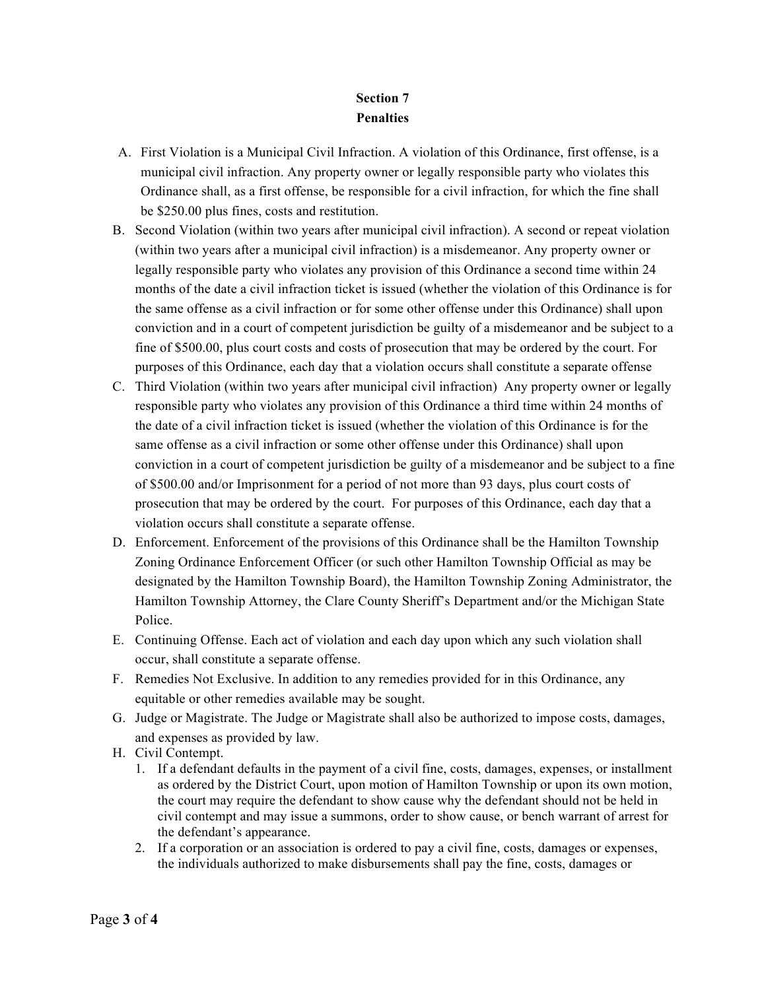# **Section 7 Penalties**

- A. First Violation is a Municipal Civil Infraction. A violation of this Ordinance, first offense, is a municipal civil infraction. Any property owner or legally responsible party who violates this Ordinance shall, as a first offense, be responsible for a civil infraction, for which the fine shall be \$250.00 plus fines, costs and restitution.
- B. Second Violation (within two years after municipal civil infraction). A second or repeat violation (within two years after a municipal civil infraction) is a misdemeanor. Any property owner or legally responsible party who violates any provision of this Ordinance a second time within 24 months of the date a civil infraction ticket is issued (whether the violation of this Ordinance is for the same offense as a civil infraction or for some other offense under this Ordinance) shall upon conviction and in a court of competent jurisdiction be guilty of a misdemeanor and be subject to a fine of \$500.00, plus court costs and costs of prosecution that may be ordered by the court. For purposes of this Ordinance, each day that a violation occurs shall constitute a separate offense
- C. Third Violation (within two years after municipal civil infraction) Any property owner or legally responsible party who violates any provision of this Ordinance a third time within 24 months of the date of a civil infraction ticket is issued (whether the violation of this Ordinance is for the same offense as a civil infraction or some other offense under this Ordinance) shall upon conviction in a court of competent jurisdiction be guilty of a misdemeanor and be subject to a fine of \$500.00 and/or Imprisonment for a period of not more than 93 days, plus court costs of prosecution that may be ordered by the court. For purposes of this Ordinance, each day that a violation occurs shall constitute a separate offense.
- D. Enforcement. Enforcement of the provisions of this Ordinance shall be the Hamilton Township Zoning Ordinance Enforcement Officer (or such other Hamilton Township Official as may be designated by the Hamilton Township Board), the Hamilton Township Zoning Administrator, the Hamilton Township Attorney, the Clare County Sheriff's Department and/or the Michigan State Police.
- E. Continuing Offense. Each act of violation and each day upon which any such violation shall occur, shall constitute a separate offense.
- F. Remedies Not Exclusive. In addition to any remedies provided for in this Ordinance, any equitable or other remedies available may be sought.
- G. Judge or Magistrate. The Judge or Magistrate shall also be authorized to impose costs, damages, and expenses as provided by law.
- H. Civil Contempt.
	- 1. If a defendant defaults in the payment of a civil fine, costs, damages, expenses, or installment as ordered by the District Court, upon motion of Hamilton Township or upon its own motion, the court may require the defendant to show cause why the defendant should not be held in civil contempt and may issue a summons, order to show cause, or bench warrant of arrest for the defendant's appearance.
	- 2. If a corporation or an association is ordered to pay a civil fine, costs, damages or expenses, the individuals authorized to make disbursements shall pay the fine, costs, damages or